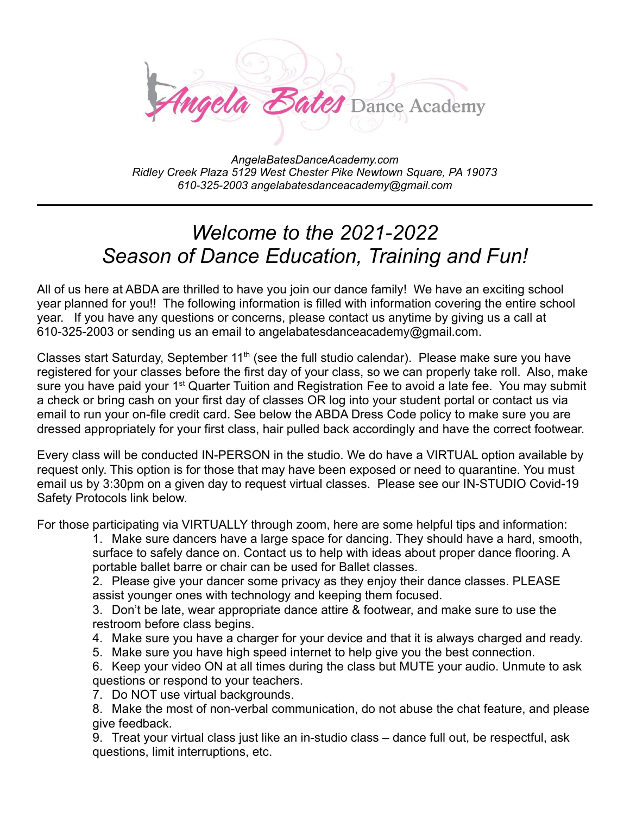

*AngelaBatesDanceAcademy.com Ridley Creek Plaza 5129 West Chester Pike Newtown Square, PA 19073 610-325-2003 angelabatesdanceacademy@gmail.com*

# *Welcome to the 2021-2022 Season of Dance Education, Training and Fun!*

All of us here at ABDA are thrilled to have you join our dance family! We have an exciting school year planned for you!! The following information is filled with information covering the entire school year. If you have any questions or concerns, please contact us anytime by giving us a call at 610-325-2003 or sending us an email to angelabatesdanceacademy@gmail.com.

Classes start Saturday, September 11<sup>th</sup> (see the full studio calendar). Please make sure you have registered for your classes before the first day of your class, so we can properly take roll. Also, make sure you have paid your 1<sup>st</sup> Quarter Tuition and Registration Fee to avoid a late fee. You may submit a check or bring cash on your first day of classes OR log into your student portal or contact us via email to run your on-file credit card. See below the ABDA Dress Code policy to make sure you are dressed appropriately for your first class, hair pulled back accordingly and have the correct footwear.

Every class will be conducted IN-PERSON in the studio. We do have a VIRTUAL option available by request only. This option is for those that may have been exposed or need to quarantine. You must email us by 3:30pm on a given day to request virtual classes. Please see our IN-STUDIO Covid-19 Safety Protocols link below.

For those participating via VIRTUALLY through zoom, here are some helpful tips and information:

1. Make sure dancers have a large space for dancing. They should have a hard, smooth, surface to safely dance on. Contact us to help with ideas about proper dance flooring. A portable ballet barre or chair can be used for Ballet classes.

2. Please give your dancer some privacy as they enjoy their dance classes. PLEASE assist younger ones with technology and keeping them focused.

3. Don't be late, wear appropriate dance attire & footwear, and make sure to use the restroom before class begins.

- 4. Make sure you have a charger for your device and that it is always charged and ready.
- 5. Make sure you have high speed internet to help give you the best connection.

6. Keep your video ON at all times during the class but MUTE your audio. Unmute to ask questions or respond to your teachers.

7. Do NOT use virtual backgrounds.

8. Make the most of non-verbal communication, do not abuse the chat feature, and please give feedback.

9. Treat your virtual class just like an in-studio class – dance full out, be respectful, ask questions, limit interruptions, etc.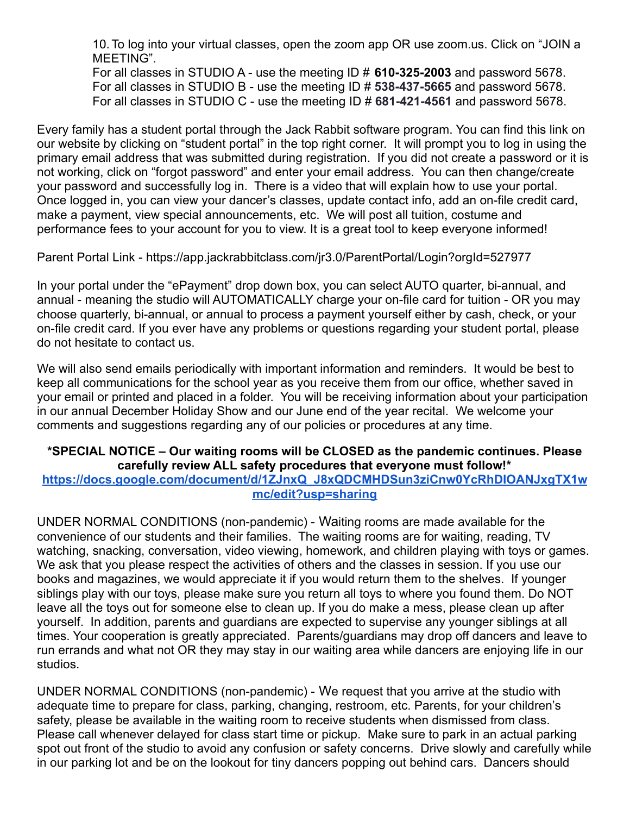10.To log into your virtual classes, open the zoom app OR use zoom.us. Click on "JOIN a MEETING".

For all classes in STUDIO A - use the meeting ID # **610-325-2003** and password 5678. For all classes in STUDIO B - use the meeting ID # **538-437-5665** and password 5678. For all classes in STUDIO C - use the meeting ID # **681-421-4561** and password 5678.

Every family has a student portal through the Jack Rabbit software program. You can find this link on our website by clicking on "student portal" in the top right corner. It will prompt you to log in using the primary email address that was submitted during registration. If you did not create a password or it is not working, click on "forgot password" and enter your email address. You can then change/create your password and successfully log in. There is a video that will explain how to use your portal. Once logged in, you can view your dancer's classes, update contact info, add an on-file credit card, make a payment, view special announcements, etc. We will post all tuition, costume and performance fees to your account for you to view. It is a great tool to keep everyone informed!

Parent Portal Link - https://app.jackrabbitclass.com/jr3.0/ParentPortal/Login?orgId=527977

In your portal under the "ePayment" drop down box, you can select AUTO quarter, bi-annual, and annual - meaning the studio will AUTOMATICALLY charge your on-file card for tuition - OR you may choose quarterly, bi-annual, or annual to process a payment yourself either by cash, check, or your on-file credit card. If you ever have any problems or questions regarding your student portal, please do not hesitate to contact us.

We will also send emails periodically with important information and reminders. It would be best to keep all communications for the school year as you receive them from our office, whether saved in your email or printed and placed in a folder. You will be receiving information about your participation in our annual December Holiday Show and our June end of the year recital. We welcome your comments and suggestions regarding any of our policies or procedures at any time.

# **\*SPECIAL NOTICE – Our waiting rooms will be CLOSED as the pandemic continues. Please carefully review ALL safety procedures that everyone must follow!\* [https://docs.google.com/document/d/1ZJnxQ\\_J8xQDCMHDSun3ziCnw0YcRhDIOANJxgTX1w](https://docs.google.com/document/d/1ZJnxQ_J8xQDCMHDSun3ziCnw0YcRhDIOANJxgTX1wmc/edit?usp=sharing) [mc/edit?usp=sharing](https://docs.google.com/document/d/1ZJnxQ_J8xQDCMHDSun3ziCnw0YcRhDIOANJxgTX1wmc/edit?usp=sharing)**

UNDER NORMAL CONDITIONS (non-pandemic) - Waiting rooms are made available for the convenience of our students and their families. The waiting rooms are for waiting, reading, TV watching, snacking, conversation, video viewing, homework, and children playing with toys or games. We ask that you please respect the activities of others and the classes in session. If you use our books and magazines, we would appreciate it if you would return them to the shelves. If younger siblings play with our toys, please make sure you return all toys to where you found them. Do NOT leave all the toys out for someone else to clean up. If you do make a mess, please clean up after yourself. In addition, parents and guardians are expected to supervise any younger siblings at all times. Your cooperation is greatly appreciated. Parents/guardians may drop off dancers and leave to run errands and what not OR they may stay in our waiting area while dancers are enjoying life in our studios.

UNDER NORMAL CONDITIONS (non-pandemic) - We request that you arrive at the studio with adequate time to prepare for class, parking, changing, restroom, etc. Parents, for your children's safety, please be available in the waiting room to receive students when dismissed from class. Please call whenever delayed for class start time or pickup. Make sure to park in an actual parking spot out front of the studio to avoid any confusion or safety concerns. Drive slowly and carefully while in our parking lot and be on the lookout for tiny dancers popping out behind cars. Dancers should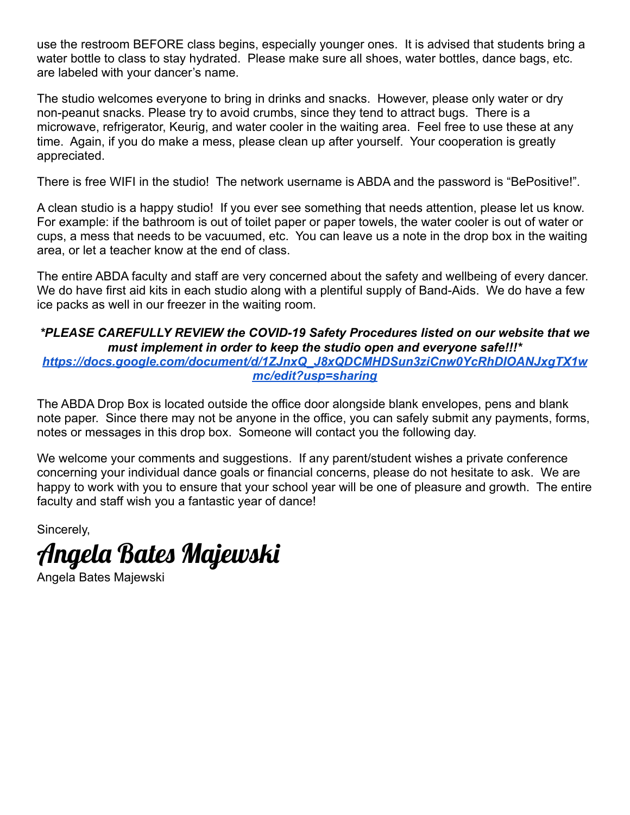use the restroom BEFORE class begins, especially younger ones. It is advised that students bring a water bottle to class to stay hydrated. Please make sure all shoes, water bottles, dance bags, etc. are labeled with your dancer's name.

The studio welcomes everyone to bring in drinks and snacks. However, please only water or dry non-peanut snacks. Please try to avoid crumbs, since they tend to attract bugs. There is a microwave, refrigerator, Keurig, and water cooler in the waiting area. Feel free to use these at any time. Again, if you do make a mess, please clean up after yourself. Your cooperation is greatly appreciated.

There is free WIFI in the studio! The network username is ABDA and the password is "BePositive!".

A clean studio is a happy studio! If you ever see something that needs attention, please let us know. For example: if the bathroom is out of toilet paper or paper towels, the water cooler is out of water or cups, a mess that needs to be vacuumed, etc. You can leave us a note in the drop box in the waiting area, or let a teacher know at the end of class.

The entire ABDA faculty and staff are very concerned about the safety and wellbeing of every dancer. We do have first aid kits in each studio along with a plentiful supply of Band-Aids. We do have a few ice packs as well in our freezer in the waiting room.

# *\*PLEASE CAREFULLY REVIEW the COVID-19 Safety Procedures listed on our website that we must implement in order to keep the studio open and everyone safe!!!\* [https://docs.google.com/document/d/1ZJnxQ\\_J8xQDCMHDSun3ziCnw0YcRhDIOANJxgTX1w](https://docs.google.com/document/d/1ZJnxQ_J8xQDCMHDSun3ziCnw0YcRhDIOANJxgTX1wmc/edit?usp=sharing) [mc/edit?usp=sharing](https://docs.google.com/document/d/1ZJnxQ_J8xQDCMHDSun3ziCnw0YcRhDIOANJxgTX1wmc/edit?usp=sharing)*

The ABDA Drop Box is located outside the office door alongside blank envelopes, pens and blank note paper. Since there may not be anyone in the office, you can safely submit any payments, forms, notes or messages in this drop box. Someone will contact you the following day.

We welcome your comments and suggestions. If any parent/student wishes a private conference concerning your individual dance goals or financial concerns, please do not hesitate to ask. We are happy to work with you to ensure that your school year will be one of pleasure and growth. The entire faculty and staff wish you a fantastic year of dance!

Sincerely,



Angela Bates Majewski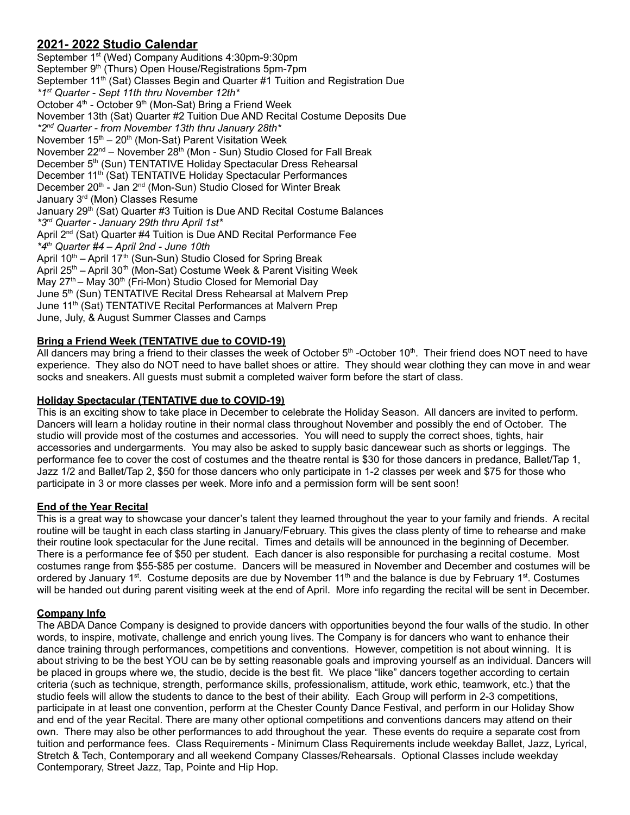# **2021- 2022 Studio Calendar**

September 1<sup>st</sup> (Wed) Company Auditions 4:30pm-9:30pm September 9<sup>th</sup> (Thurs) Open House/Registrations 5pm-7pm September 11<sup>th</sup> (Sat) Classes Begin and Quarter #1 Tuition and Registration Due *\*1 st Quarter - Sept 11th thru November 12th\** October 4<sup>th</sup> - October 9<sup>th</sup> (Mon-Sat) Bring a Friend Week November 13th (Sat) Quarter #2 Tuition Due AND Recital Costume Deposits Due *\*2 nd Quarter - from November 13th thru January 28th\** November 15<sup>th</sup> – 20<sup>th</sup> (Mon-Sat) Parent Visitation Week November 22<sup>nd</sup> – November 28<sup>th</sup> (Mon - Sun) Studio Closed for Fall Break December 5<sup>th</sup> (Sun) TENTATIVE Holiday Spectacular Dress Rehearsal December 11<sup>th</sup> (Sat) TENTATIVE Holiday Spectacular Performances December 20<sup>th</sup> - Jan 2<sup>nd</sup> (Mon-Sun) Studio Closed for Winter Break January 3<sup>rd</sup> (Mon) Classes Resume January 29<sup>th</sup> (Sat) Quarter #3 Tuition is Due AND Recital Costume Balances *\*3 rd Quarter - January 29th thru April 1st\** April 2<sup>nd</sup> (Sat) Quarter #4 Tuition is Due AND Recital Performance Fee *\*4 th Quarter #4 – April 2nd - June 10th* April 10<sup>th</sup> – April 17<sup>th</sup> (Sun-Sun) Studio Closed for Spring Break April 25<sup>th</sup> – April 30<sup>th</sup> (Mon-Sat) Costume Week & Parent Visiting Week May 27<sup>th</sup> – May 30<sup>th</sup> (Fri-Mon) Studio Closed for Memorial Day June 5<sup>th</sup> (Sun) TENTATIVE Recital Dress Rehearsal at Malvern Prep June 11<sup>th</sup> (Sat) TENTATIVE Recital Performances at Malvern Prep June, July, & August Summer Classes and Camps

# **Bring a Friend Week (TENTATIVE due to COVID-19)**

All dancers may bring a friend to their classes the week of October 5<sup>th</sup> -October 10<sup>th</sup>. Their friend does NOT need to have experience. They also do NOT need to have ballet shoes or attire. They should wear clothing they can move in and wear socks and sneakers. All guests must submit a completed waiver form before the start of class.

# **Holiday Spectacular (TENTATIVE due to COVID-19)**

This is an exciting show to take place in December to celebrate the Holiday Season. All dancers are invited to perform. Dancers will learn a holiday routine in their normal class throughout November and possibly the end of October. The studio will provide most of the costumes and accessories. You will need to supply the correct shoes, tights, hair accessories and undergarments. You may also be asked to supply basic dancewear such as shorts or leggings. The performance fee to cover the cost of costumes and the theatre rental is \$30 for those dancers in predance, Ballet/Tap 1, Jazz 1/2 and Ballet/Tap 2, \$50 for those dancers who only participate in 1-2 classes per week and \$75 for those who participate in 3 or more classes per week. More info and a permission form will be sent soon!

# **End of the Year Recital**

This is a great way to showcase your dancer's talent they learned throughout the year to your family and friends. A recital routine will be taught in each class starting in January/February. This gives the class plenty of time to rehearse and make their routine look spectacular for the June recital. Times and details will be announced in the beginning of December. There is a performance fee of \$50 per student. Each dancer is also responsible for purchasing a recital costume. Most costumes range from \$55-\$85 per costume. Dancers will be measured in November and December and costumes will be ordered by January 1<sup>st</sup>. Costume deposits are due by November 11<sup>th</sup> and the balance is due by February 1<sup>st</sup>. Costumes will be handed out during parent visiting week at the end of April. More info regarding the recital will be sent in December.

# **Company Info**

The ABDA Dance Company is designed to provide dancers with opportunities beyond the four walls of the studio. In other words, to inspire, motivate, challenge and enrich young lives. The Company is for dancers who want to enhance their dance training through performances, competitions and conventions. However, competition is not about winning. It is about striving to be the best YOU can be by setting reasonable goals and improving yourself as an individual. Dancers will be placed in groups where we, the studio, decide is the best fit. We place "like" dancers together according to certain criteria (such as technique, strength, performance skills, professionalism, attitude, work ethic, teamwork, etc.) that the studio feels will allow the students to dance to the best of their ability. Each Group will perform in 2-3 competitions, participate in at least one convention, perform at the Chester County Dance Festival, and perform in our Holiday Show and end of the year Recital. There are many other optional competitions and conventions dancers may attend on their own. There may also be other performances to add throughout the year. These events do require a separate cost from tuition and performance fees. Class Requirements - Minimum Class Requirements include weekday Ballet, Jazz, Lyrical, Stretch & Tech, Contemporary and all weekend Company Classes/Rehearsals. Optional Classes include weekday Contemporary, Street Jazz, Tap, Pointe and Hip Hop.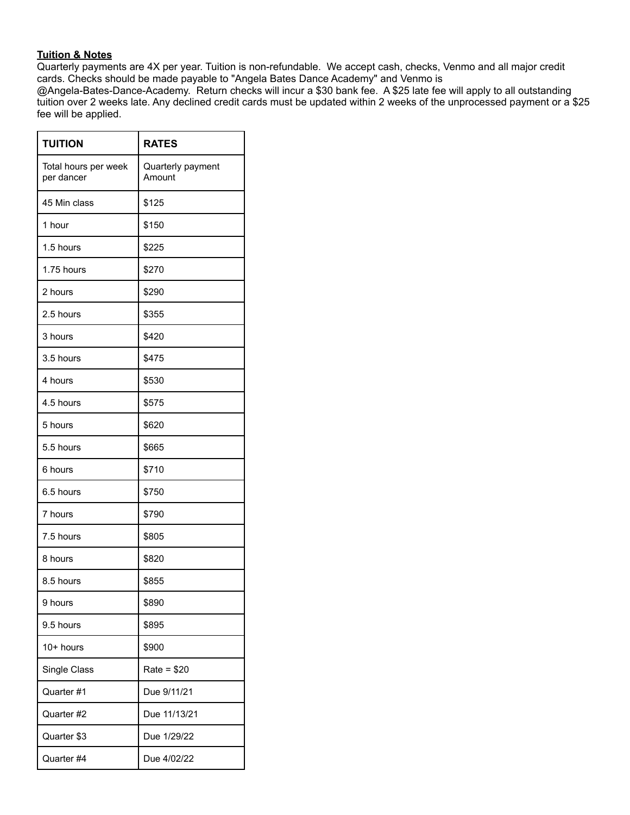#### **Tuition & Notes**

Quarterly payments are 4X per year. Tuition is non-refundable. We accept cash, checks, Venmo and all major credit cards. Checks should be made payable to "Angela Bates Dance Academy" and Venmo is

@Angela-Bates-Dance-Academy. Return checks will incur a \$30 bank fee. A \$25 late fee will apply to all outstanding tuition over 2 weeks late. Any declined credit cards must be updated within 2 weeks of the unprocessed payment or a \$25 fee will be applied.

| <b>TUITION</b>                     | <b>RATES</b>                |
|------------------------------------|-----------------------------|
| Total hours per week<br>per dancer | Quarterly payment<br>Amount |
| 45 Min class                       | \$125                       |
| 1 hour                             | \$150                       |
| 1.5 hours                          | \$225                       |
| 1.75 hours                         | \$270                       |
| 2 hours                            | \$290                       |
| 2.5 hours                          | \$355                       |
| 3 hours                            | \$420                       |
| 3.5 hours                          | \$475                       |
| 4 hours                            | \$530                       |
| 4.5 hours                          | \$575                       |
| 5 hours                            | \$620                       |
| 5.5 hours                          | \$665                       |
| 6 hours                            | \$710                       |
| 6.5 hours                          | \$750                       |
| 7 hours                            | \$790                       |
| 7.5 hours                          | \$805                       |
| 8 hours                            | \$820                       |
| 8.5 hours                          | \$855                       |
| 9 hours                            | \$890                       |
| 9.5 hours                          | \$895                       |
| $10+$ hours                        | \$900                       |
| Single Class                       | $Rate = $20$                |
| Quarter #1                         | Due 9/11/21                 |
| Quarter #2                         | Due 11/13/21                |
| Quarter \$3                        | Due 1/29/22                 |
| Quarter #4                         | Due 4/02/22                 |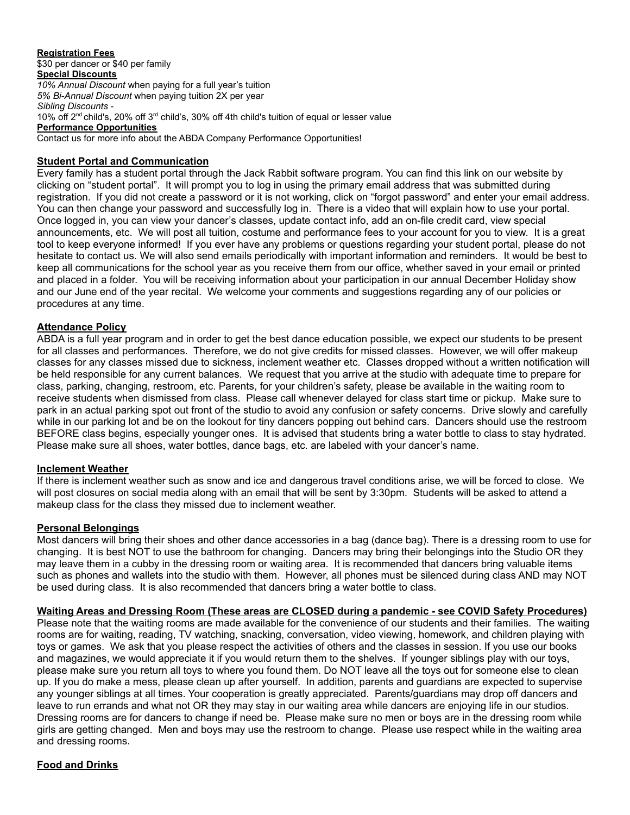#### **Registration Fees** \$30 per dancer or \$40 per family **Special Discounts** *10% Annual Discount* when paying for a full year's tuition *5% Bi-Annual Discount* when paying tuition 2X per year *Sibling Discounts* - 10% off 2<sup>nd</sup> child's, 20% off 3<sup>rd</sup> child's, 30% off 4th child's tuition of equal or lesser value **Performance Opportunities**

Contact us for more info about the ABDA Company Performance Opportunities!

# **Student Portal and Communication**

Every family has a student portal through the Jack Rabbit software program. You can find this link on our website by clicking on "student portal". It will prompt you to log in using the primary email address that was submitted during registration. If you did not create a password or it is not working, click on "forgot password" and enter your email address. You can then change your password and successfully log in. There is a video that will explain how to use your portal. Once logged in, you can view your dancer's classes, update contact info, add an on-file credit card, view special announcements, etc. We will post all tuition, costume and performance fees to your account for you to view. It is a great tool to keep everyone informed! If you ever have any problems or questions regarding your student portal, please do not hesitate to contact us. We will also send emails periodically with important information and reminders. It would be best to keep all communications for the school year as you receive them from our office, whether saved in your email or printed and placed in a folder. You will be receiving information about your participation in our annual December Holiday show and our June end of the year recital. We welcome your comments and suggestions regarding any of our policies or procedures at any time.

#### **Attendance Policy**

ABDA is a full year program and in order to get the best dance education possible, we expect our students to be present for all classes and performances. Therefore, we do not give credits for missed classes. However, we will offer makeup classes for any classes missed due to sickness, inclement weather etc. Classes dropped without a written notification will be held responsible for any current balances. We request that you arrive at the studio with adequate time to prepare for class, parking, changing, restroom, etc. Parents, for your children's safety, please be available in the waiting room to receive students when dismissed from class. Please call whenever delayed for class start time or pickup. Make sure to park in an actual parking spot out front of the studio to avoid any confusion or safety concerns. Drive slowly and carefully while in our parking lot and be on the lookout for tiny dancers popping out behind cars. Dancers should use the restroom BEFORE class begins, especially younger ones. It is advised that students bring a water bottle to class to stay hydrated. Please make sure all shoes, water bottles, dance bags, etc. are labeled with your dancer's name.

#### **Inclement Weather**

If there is inclement weather such as snow and ice and dangerous travel conditions arise, we will be forced to close. We will post closures on social media along with an email that will be sent by 3:30pm. Students will be asked to attend a makeup class for the class they missed due to inclement weather.

#### **Personal Belongings**

Most dancers will bring their shoes and other dance accessories in a bag (dance bag). There is a dressing room to use for changing. It is best NOT to use the bathroom for changing. Dancers may bring their belongings into the Studio OR they may leave them in a cubby in the dressing room or waiting area. It is recommended that dancers bring valuable items such as phones and wallets into the studio with them. However, all phones must be silenced during class AND may NOT be used during class. It is also recommended that dancers bring a water bottle to class.

**Waiting Areas and Dressing Room (These areas are CLOSED during a pandemic - see COVID Safety Procedures)**

Please note that the waiting rooms are made available for the convenience of our students and their families. The waiting rooms are for waiting, reading, TV watching, snacking, conversation, video viewing, homework, and children playing with toys or games. We ask that you please respect the activities of others and the classes in session. If you use our books and magazines, we would appreciate it if you would return them to the shelves. If younger siblings play with our toys, please make sure you return all toys to where you found them. Do NOT leave all the toys out for someone else to clean up. If you do make a mess, please clean up after yourself. In addition, parents and guardians are expected to supervise any younger siblings at all times. Your cooperation is greatly appreciated. Parents/guardians may drop off dancers and leave to run errands and what not OR they may stay in our waiting area while dancers are enjoying life in our studios. Dressing rooms are for dancers to change if need be. Please make sure no men or boys are in the dressing room while girls are getting changed. Men and boys may use the restroom to change. Please use respect while in the waiting area and dressing rooms.

# **Food and Drinks**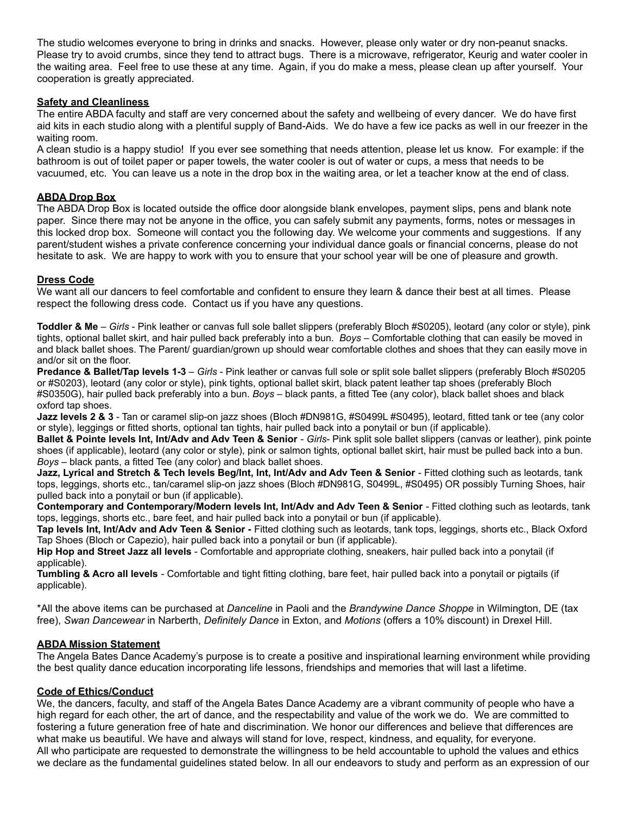The studio welcomes everyone to bring in drinks and snacks. However, please only water or dry non-peanut snacks. Please try to avoid crumbs, since they tend to attract bugs. There is a microwave, refrigerator, Keurig and water cooler in the waiting area. Feel free to use these at any time. Again, if you do make a mess, please clean up after yourself. Your cooperation is greatly appreciated.

### **Safety and Cleanliness**

The entire ABDA faculty and staff are very concerned about the safety and wellbeing of every dancer. We do have first aid kits in each studio along with a plentiful supply of Band-Aids. We do have a few ice packs as well in our freezer in the waiting room.

A clean studio is a happy studio! If you ever see something that needs attention, please let us know. For example: if the bathroom is out of toilet paper or paper towels, the water cooler is out of water or cups, a mess that needs to be vacuumed, etc. You can leave us a note in the drop box in the waiting area, or let a teacher know at the end of class.

#### **ABDA Drop Box**

The ABDA Drop Box is located outside the office door alongside blank envelopes, payment slips, pens and blank note paper. Since there may not be anyone in the office, you can safely submit any payments, forms, notes or messages in this locked drop box. Someone will contact you the following day. We welcome your comments and suggestions. If any parent/student wishes a private conference concerning your individual dance goals or financial concerns, please do not hesitate to ask. We are happy to work with you to ensure that your school year will be one of pleasure and growth.

#### **Dress Code**

We want all our dancers to feel comfortable and confident to ensure they learn & dance their best at all times. Please respect the following dress code. Contact us if you have any questions.

**Toddler & Me** – *Girls* - Pink leather or canvas full sole ballet slippers (preferably Bloch #S0205), leotard (any color or style), pink tights, optional ballet skirt, and hair pulled back preferably into a bun. *Boys* – Comfortable clothing that can easily be moved in and black ballet shoes. The Parent/ guardian/grown up should wear comfortable clothes and shoes that they can easily move in and/or sit on the floor.

**Predance & Ballet/Tap levels 1-3** – *Girls* - Pink leather or canvas full sole or split sole ballet slippers (preferably Bloch #S0205 or #S0203), leotard (any color or style), pink tights, optional ballet skirt, black patent leather tap shoes (preferably Bloch #S0350G), hair pulled back preferably into a bun. *Boys* – black pants, a fitted Tee (any color), black ballet shoes and black oxford tap shoes.

**Jazz levels 2 & 3** - Tan or caramel slip-on jazz shoes (Bloch #DN981G, #S0499L #S0495), leotard, fitted tank or tee (any color or style), leggings or fitted shorts, optional tan tights, hair pulled back into a ponytail or bun (if applicable).

**Ballet & Pointe levels Int, Int/Adv and Adv Teen & Senior** - *Girls*- Pink split sole ballet slippers (canvas or leather), pink pointe shoes (if applicable), leotard (any color or style), pink or salmon tights, optional ballet skirt, hair must be pulled back into a bun. *Boys* – black pants, a fitted Tee (any color) and black ballet shoes.

Jazz, Lyrical and Stretch & Tech levels Beg/Int, Int, Int/Adv and Adv Teen & Senior - Fitted clothing such as leotards, tank tops, leggings, shorts etc., tan/caramel slip-on jazz shoes (Bloch #DN981G, S0499L, #S0495) OR possibly Turning Shoes, hair pulled back into a ponytail or bun (if applicable).

**Contemporary and Contemporary/Modern levels Int, Int/Adv and Adv Teen & Senior** - Fitted clothing such as leotards, tank tops, leggings, shorts etc., bare feet, and hair pulled back into a ponytail or bun (if applicable).

**Tap levels Int, Int/Adv and Adv Teen & Senior -** Fitted clothing such as leotards, tank tops, leggings, shorts etc., Black Oxford Tap Shoes (Bloch or Capezio), hair pulled back into a ponytail or bun (if applicable).

**Hip Hop and Street Jazz all levels** - Comfortable and appropriate clothing, sneakers, hair pulled back into a ponytail (if applicable).

**Tumbling & Acro all levels** - Comfortable and tight fitting clothing, bare feet, hair pulled back into a ponytail or pigtails (if applicable).

\*All the above items can be purchased at *Danceline* in Paoli and the *Brandywine Dance Shoppe* in Wilmington, DE (tax free), *Swan Dancewear* in Narberth, *Definitely Dance* in Exton, and *Motions* (offers a 10% discount) in Drexel Hill.

#### **ABDA Mission Statement**

The Angela Bates Dance Academy's purpose is to create a positive and inspirational learning environment while providing the best quality dance education incorporating life lessons, friendships and memories that will last a lifetime.

#### **Code of Ethics/Conduct**

We, the dancers, faculty, and staff of the Angela Bates Dance Academy are a vibrant community of people who have a high regard for each other, the art of dance, and the respectability and value of the work we do. We are committed to fostering a future generation free of hate and discrimination. We honor our differences and believe that differences are what make us beautiful. We have and always will stand for love, respect, kindness, and equality, for everyone. All who participate are requested to demonstrate the willingness to be held accountable to uphold the values and ethics we declare as the fundamental guidelines stated below. In all our endeavors to study and perform as an expression of our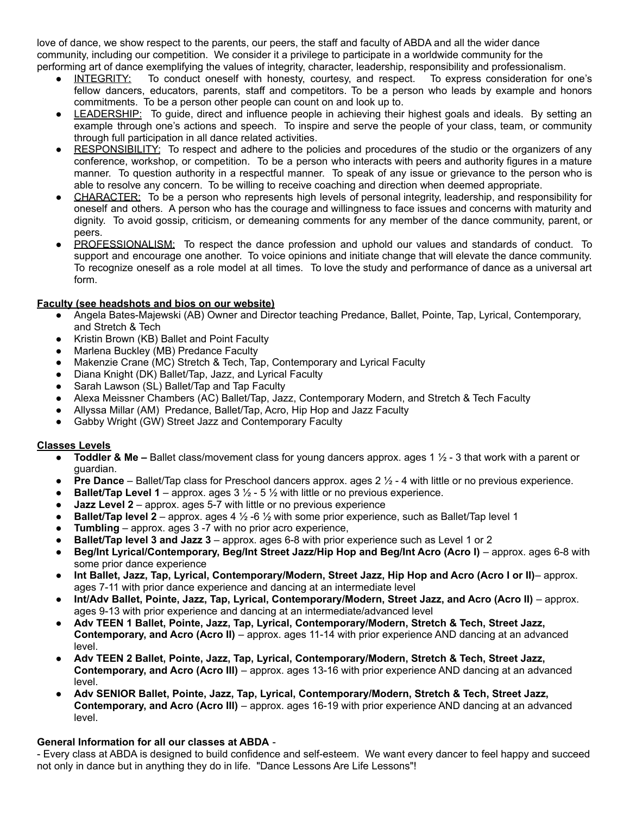love of dance, we show respect to the parents, our peers, the staff and faculty of ABDA and all the wider dance community, including our competition. We consider it a privilege to participate in a worldwide community for the performing art of dance exemplifying the values of integrity, character, leadership, responsibility and professionalism.

- INTEGRITY: To conduct oneself with honesty, courtesy, and respect. To express consideration for one's fellow dancers, educators, parents, staff and competitors. To be a person who leads by example and honors commitments. To be a person other people can count on and look up to.
- LEADERSHIP: To guide, direct and influence people in achieving their highest goals and ideals. By setting an example through one's actions and speech. To inspire and serve the people of your class, team, or community through full participation in all dance related activities.
- RESPONSIBILITY: To respect and adhere to the policies and procedures of the studio or the organizers of any conference, workshop, or competition. To be a person who interacts with peers and authority figures in a mature manner. To question authority in a respectful manner. To speak of any issue or grievance to the person who is able to resolve any concern. To be willing to receive coaching and direction when deemed appropriate.
- CHARACTER: To be a person who represents high levels of personal integrity, leadership, and responsibility for oneself and others. A person who has the courage and willingness to face issues and concerns with maturity and dignity. To avoid gossip, criticism, or demeaning comments for any member of the dance community, parent, or peers.
- PROFESSIONALISM: To respect the dance profession and uphold our values and standards of conduct. To support and encourage one another. To voice opinions and initiate change that will elevate the dance community. To recognize oneself as a role model at all times. To love the study and performance of dance as a universal art form.

# **Faculty (see headshots and bios on our website)**

- Angela Bates-Majewski (AB) Owner and Director teaching Predance, Ballet, Pointe, Tap, Lyrical, Contemporary, and Stretch & Tech
- Kristin Brown (KB) Ballet and Point Faculty
- Marlena Buckley (MB) Predance Faculty
- Makenzie Crane (MC) Stretch & Tech, Tap, Contemporary and Lyrical Faculty
- Diana Knight (DK) Ballet/Tap, Jazz, and Lyrical Faculty
- Sarah Lawson (SL) Ballet/Tap and Tap Faculty
- Alexa Meissner Chambers (AC) Ballet/Tap, Jazz, Contemporary Modern, and Stretch & Tech Faculty
- Allyssa Millar (AM) Predance, Ballet/Tap, Acro, Hip Hop and Jazz Faculty
- Gabby Wright (GW) Street Jazz and Contemporary Faculty

# **Classes Levels**

- **Toddler & Me –** Ballet class/movement class for young dancers approx. ages 1 ½ 3 that work with a parent or guardian.
- **Pre Dance** Ballet/Tap class for Preschool dancers approx. ages 2 ½ 4 with little or no previous experience.
- **Ballet/Tap Level 1** approx. ages  $3 \frac{1}{2}$  5  $\frac{1}{2}$  with little or no previous experience.
- **Jazz Level 2** approx. ages 5-7 with little or no previous experience
- **Ballet/Tap level 2** approx. ages 4 ½ -6 ½ with some prior experience, such as Ballet/Tap level 1
- **Tumbling** approx. ages 3 -7 with no prior acro experience,
- **Ballet/Tap level 3 and Jazz 3** approx. ages 6-8 with prior experience such as Level 1 or 2
- **Beg/Int Lyrical/Contemporary, Beg/Int Street Jazz/Hip Hop and Beg/Int Acro (Acro I)** approx. ages 6-8 with some prior dance experience
- **Int Ballet, Jazz, Tap, Lyrical, Contemporary/Modern, Street Jazz, Hip Hop and Acro (Acro I or II)** approx. ages 7-11 with prior dance experience and dancing at an intermediate level
- **Int/Adv Ballet, Pointe, Jazz, Tap, Lyrical, Contemporary/Modern, Street Jazz, and Acro (Acro II)** approx. ages 9-13 with prior experience and dancing at an intermediate/advanced level
- **Adv TEEN 1 Ballet, Pointe, Jazz, Tap, Lyrical, Contemporary/Modern, Stretch & Tech, Street Jazz, Contemporary, and Acro (Acro II)** – approx. ages 11-14 with prior experience AND dancing at an advanced level.
- **Adv TEEN 2 Ballet, Pointe, Jazz, Tap, Lyrical, Contemporary/Modern, Stretch & Tech, Street Jazz, Contemporary, and Acro (Acro III)** – approx. ages 13-16 with prior experience AND dancing at an advanced level.
- **Adv SENIOR Ballet, Pointe, Jazz, Tap, Lyrical, Contemporary/Modern, Stretch & Tech, Street Jazz, Contemporary, and Acro (Acro III)** – approx. ages 16-19 with prior experience AND dancing at an advanced level.

# **General Information for all our classes at ABDA** -

- Every class at ABDA is designed to build confidence and self-esteem. We want every dancer to feel happy and succeed not only in dance but in anything they do in life. "Dance Lessons Are Life Lessons"!